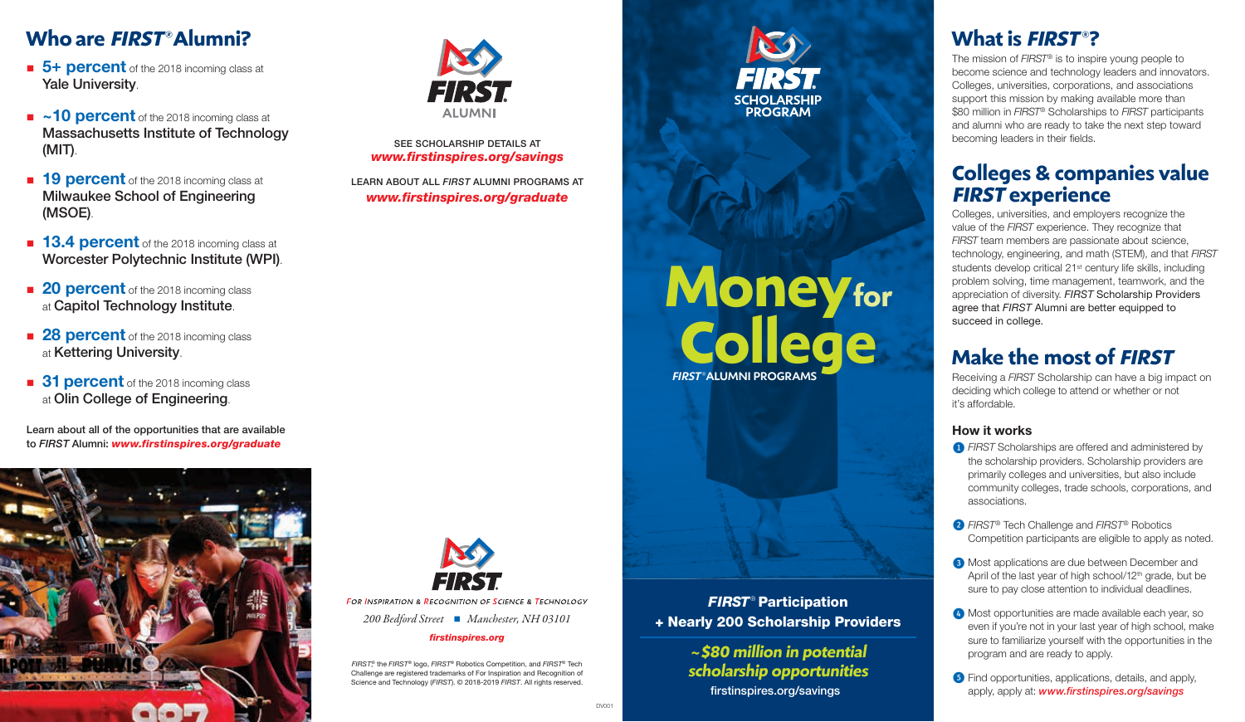### **Who are** *FIRST®* **Alumni?**

- **5+ percent** of the 2018 incoming class at Yale University.
- $\sim$ **10 percent** of the 2018 incoming class at Massachusetts Institute of Technology (MIT).
- **19 percent** of the 2018 incoming class at Milwaukee School of Engineering (MSOE).
- **13.4 percent** of the 2018 incoming class at Worcester Polytechnic Institute (WPI).
- **20 percent** of the 2018 incoming class at Capitol Technology Institute.
- **28 percent** of the 2018 incoming class at Kettering University.
- **31 percent** of the 2018 incoming class at Olin College of Engineering.

Learn about all of the opportunities that are available to *FIRST* Alumni: *www.firstinspires.org/graduate*





*www.firstinspires.org/savings* SEE SCHOLARSHIP DETAILS AT

*www.firstinspires.org/graduate* LEARN ABOUT ALL *FIRST* ALUMNI PROGRAMS AT

® the *FIRST*® logo, *FIRST*® Robotics Competition, and *FIRST*® Tech Challenge are registered trademarks of For Inspiration and Recognition of Science and Technology (*FIRST*). © 2018-2019 *FIRST*. All rights reserved.

*200 Bedford Street Manchester, NH 03101 firstinspires.org*

FOR INSPIRATION & RECOGNITION OF SCIENCE & TECHNOLOGY

## *FIRST®* ALUMNI PROGRAMS **Moneyfor College**

ERST.

**CHOLARSHIP** 

**PROGRAM** 

*FIRST* ® Participation + Nearly 200 Scholarship Providers

> firstinspires.org/savings **<sup>~</sup> \$80 million in potential**   $s$ cholarship opportunities

### **What is** *FIRST* **®?**

The mission of *FIRST®* is to inspire young people to become science and technology leaders and innovators. Colleges, universities, corporations, and associations support this mission by making available more than \$80 million in *FIRST®* Scholarships to *FIRST* participants and alumni who are ready to take the next step toward becoming leaders in their fields.

#### **Colleges & companies value FIRST experience**

Colleges, universities, and employers recognize the value of the *FIRST* experience. They recognize that *FIRST* team members are passionate about science, technology, engineering, and math (STEM), and that *FIRST*  students develop critical 21<sup>st</sup> century life skills, including problem solving, time management, teamwork, and the appreciation of diversity. *FIRST* Scholarship Providers agree that *FIRST* Alumni are better equipped to succeed in college.

#### **Make the most of** *FIRST*

Receiving a *FIRST* Scholarship can have a big impact on deciding which college to attend or whether or not it's affordable.

#### **How it works**

- *O FIRST* Scholarships are offered and administered by the scholarship providers. Scholarship providers are primarily colleges and universities, but also include community colleges, trade schools, corporations, and associations.
- ➋ *FIRST®* Tech Challenge and *FIRST®* Robotics Competition participants are eligible to apply as noted.
- **3** Most applications are due between December and April of the last year of high school/12<sup>th</sup> grade, but be sure to pay close attention to individual deadlines.
- ➍ Most opportunities are made available each year, so even if you're not in your last year of high school, make sure to familiarize yourself with the opportunities in the program and are ready to apply.
- **S** Find opportunities, applications, details, and apply, apply, apply at: *www.firstinspires.org/savings*